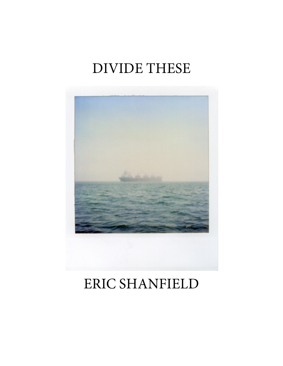# DIVIDE THESE



## ERIC SHANFIELD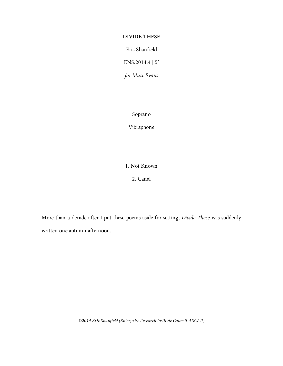### **DIVIDE THESE**

Eric Shanfield

ENS.2014.4 | 5'

*for Matt Evans*

Soprano

Vibraphone

1. Not Known

2. Canal

More than a decade after I put these poems aside for setting, *Divide These* was suddenly written one autumn afternoon.

*©2014 Eric Shanfield (Enterprise Research Institute Council, ASCAP)*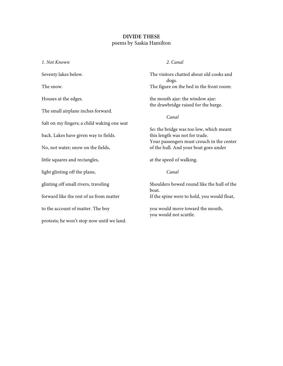#### **DIVIDE THESE** poems by Saskia Hamilton

*1. Not Known* Seventy lakes below. The snow. Houses at the edges. The small airplane inches forward. Salt on my fingers; a child waking one seat back. Lakes have given way to fields. No, not water; snow on the fields, little squares and rectangles, light glinting off the plane, glinting off small rivers, traveling forward like the rest of us from matter to the account of matter. The boy protests; he won't stop now until we land.

#### *2. Canal*

The visitors chatted about old cooks and dogs. The figure on the bed in the front room:

the mouth ajar: the window ajar: the drawbridge raised for the barge.

*Canal*

So: the bridge was too low, which meant this length was not for trade. Your passengers must crouch in the center of the hull. And your boat goes under

at the speed of walking.

*Canal*

Shoulders bowed round like the hull of the boat. If the spine were to hold, you would float,

you would move toward the mouth, you would not scuttle.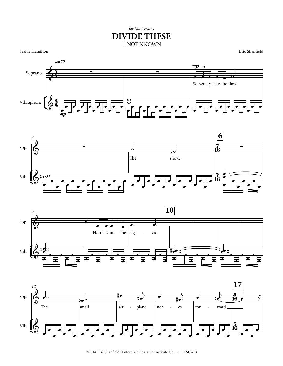### for Matt Evans **DIVIDE THESE** 1. NOT KNOWN

Saskia Hamilton

Eric Shanfield









<sup>@2014</sup> Eric Shanfield (Enterprise Research Institute Council, ASCAP)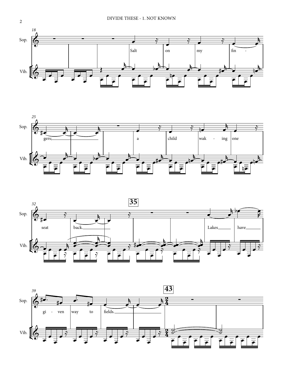





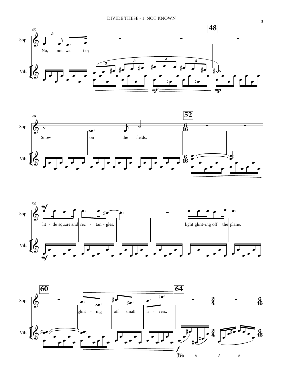





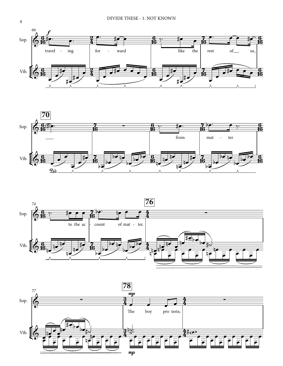







4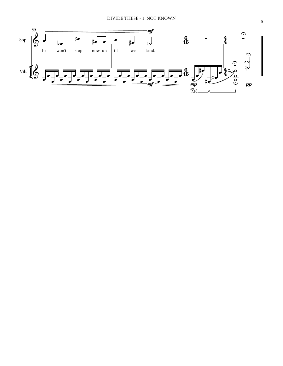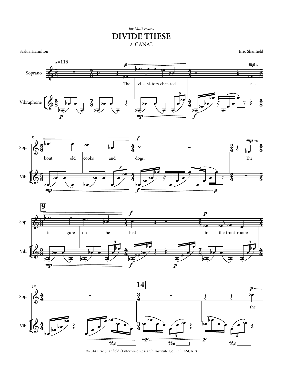## 2. CANAL *for Matt Evans* **DIVIDE THESE**

Saskia Hamilton

Eric Shanfield









©2014 Eric Shanfield (Enterprise Research Institute Council, ASCAP)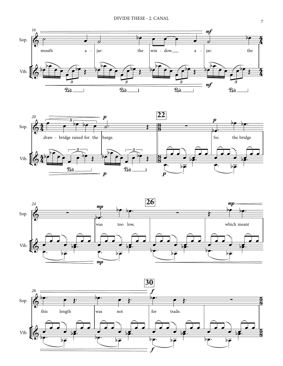





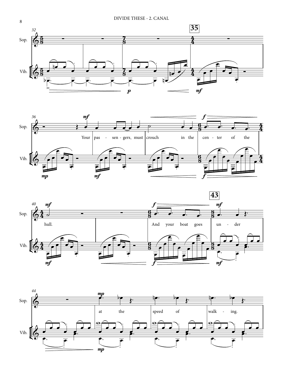







8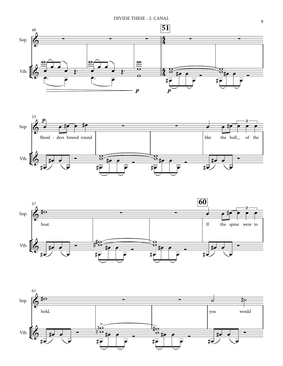